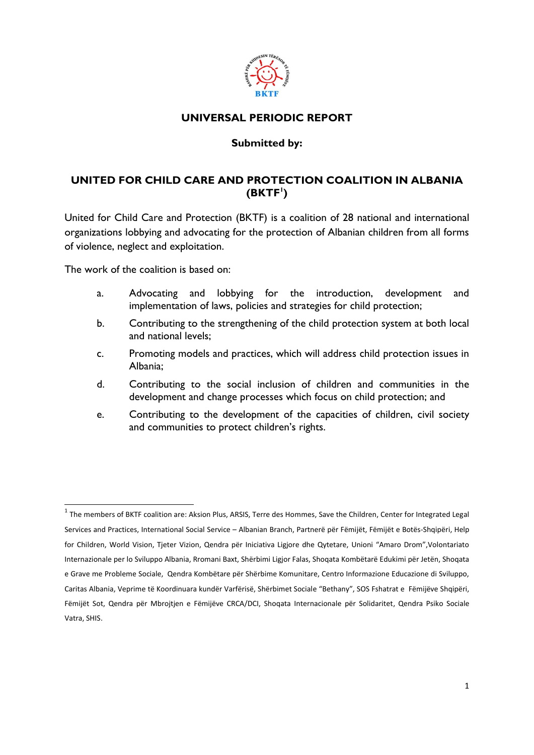

# **UNIVERSAL PERIODIC REPORT**

#### **Submitted by:**

# **UNITED FOR CHILD CARE AND PROTECTION COALITION IN ALBANIA (BKTF<sup>1</sup> )**

United for Child Care and Protection (BKTF) is a coalition of 28 national and international organizations lobbying and advocating for the protection of Albanian children from all forms of violence, neglect and exploitation.

The work of the coalition is based on:

**.** 

- a. Advocating and lobbying for the introduction, development and implementation of laws, policies and strategies for child protection;
- b. Contributing to the strengthening of the child protection system at both local and national levels;
- c. Promoting models and practices, which will address child protection issues in Albania;
- d. Contributing to the social inclusion of children and communities in the development and change processes which focus on child protection; and
- e. Contributing to the development of the capacities of children, civil society and communities to protect children's rights.

 $^1$  The members of BKTF coalition are: Aksion Plus, ARSIS, Terre des Hommes, Save the Children, Center for Integrated Legal Services and Practices, International Social Service – Albanian Branch, Partnerë për Fëmijët, Fëmijët e Botës-Shqipëri, Help for Children, World Vision, Tjeter Vizion, Qendra për Iniciativa Ligjore dhe Qytetare, Unioni "Amaro Drom",Volontariato Internazionale per lo Sviluppo Albania, Rromani Baxt, Shërbimi Ligjor Falas, Shoqata Kombëtarë Edukimi për Jetën, Shoqata e Grave me Probleme Sociale, Qendra Kombëtare për Shërbime Komunitare, Centro Informazione Educazione di Sviluppo, Caritas Albania, Veprime të Koordinuara kundër Varfërisë, Shërbimet Sociale "Bethany", SOS Fshatrat e Fëmijëve Shqipëri, Fëmijët Sot, Qendra për Mbrojtjen e Fëmijëve CRCA/DCI, Shoqata Internacionale për Solidaritet, Qendra Psiko Sociale Vatra, SHIS.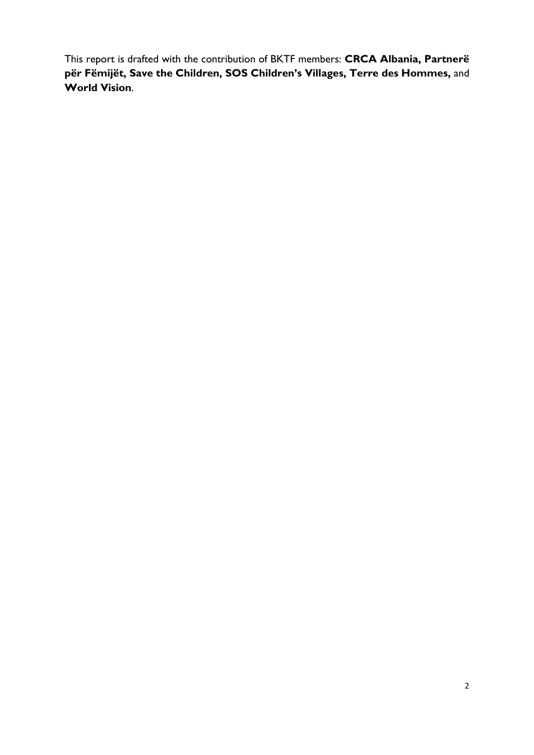This report is drafted with the contribution of BKTF members: **CRCA Albania, Partnerë për Fëmijët, Save the Children, SOS Children's Villages, Terre des Hommes,** and **World Vision**.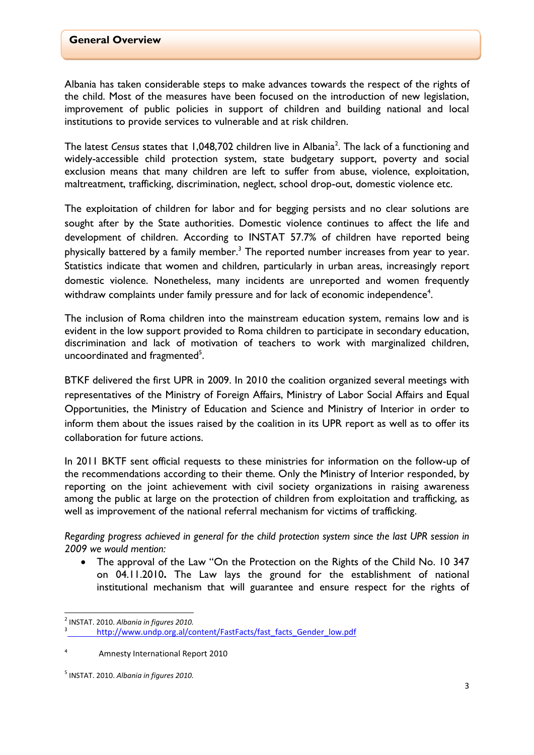Albania has taken considerable steps to make advances towards the respect of the rights of the child. Most of the measures have been focused on the introduction of new legislation, improvement of public policies in support of children and building national and local institutions to provide services to vulnerable and at risk children.

The latest Census states that 1,048,702 children live in Albania<sup>2</sup>. The lack of a functioning and widely-accessible child protection system, state budgetary support, poverty and social exclusion means that many children are left to suffer from abuse, violence, exploitation, maltreatment, trafficking, discrimination, neglect, school drop-out, domestic violence etc.

The exploitation of children for labor and for begging persists and no clear solutions are sought after by the State authorities. Domestic violence continues to affect the life and development of children. According to INSTAT 57.7% of children have reported being physically battered by a family member.<sup>3</sup> The reported number increases from year to year. Statistics indicate that women and children, particularly in urban areas, increasingly report domestic violence. Nonetheless, many incidents are unreported and women frequently withdraw complaints under family pressure and for lack of economic independence<sup>4</sup>.

The inclusion of Roma children into the mainstream education system, remains low and is evident in the low support provided to Roma children to participate in secondary education, discrimination and lack of motivation of teachers to work with marginalized children, uncoordinated and fragmented<sup>5</sup>.

BTKF delivered the first UPR in 2009. In 2010 the coalition organized several meetings with representatives of the Ministry of Foreign Affairs, Ministry of Labor Social Affairs and Equal Opportunities, the Ministry of Education and Science and Ministry of Interior in order to inform them about the issues raised by the coalition in its UPR report as well as to offer its collaboration for future actions.

In 2011 BKTF sent official requests to these ministries for information on the follow-up of the recommendations according to their theme. Only the Ministry of Interior responded, by reporting on the joint achievement with civil society organizations in raising awareness among the public at large on the protection of children from exploitation and trafficking, as well as improvement of the national referral mechanism for victims of trafficking.

*Regarding progress achieved in general for the child protection system since the last UPR session in 2009 we would mention:*

 The approval of the Law "On the Protection on the Rights of the Child No. 10 347 on 04.11.2010**.** The Law lays the ground for the establishment of national institutional mechanism that will guarantee and ensure respect for the rights of

**<sup>.</sup>** 2 INSTAT. 2010. *Albania in figures 2010.* 

<sup>3</sup> [http://www.undp.org.al/content/FastFacts/fast\\_facts\\_Gender\\_low.pdf](http://www.undp.org.al/content/FastFacts/fast_facts_Gender_low.pdf)

<sup>4</sup> Amnesty International Report 2010

<sup>5</sup> INSTAT. 2010. *Albania in figures 2010.*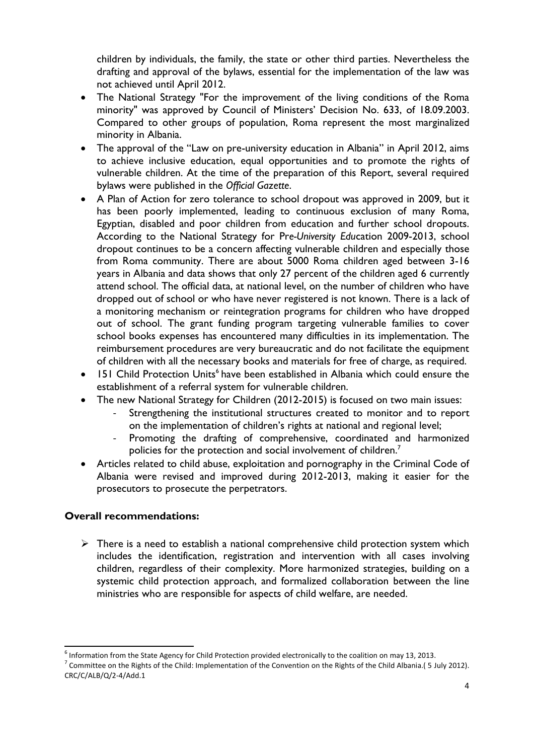children by individuals, the family, the state or other third parties. Nevertheless the drafting and approval of the bylaws, essential for the implementation of the law was not achieved until April 2012.

- The National Strategy "For the improvement of the living conditions of the Roma minority" was approved by Council of Ministers' Decision No. 633, of 18.09.2003. Compared to other groups of population, Roma represent the most marginalized minority in Albania.
- The approval of the "Law on pre-university education in Albania" in April 2012, aims to achieve inclusive education, equal opportunities and to promote the rights of vulnerable children. At the time of the preparation of this Report, several required bylaws were published in the *Official Gazette*.
- A Plan of Action for zero tolerance to school dropout was approved in 2009, but it has been poorly implemented, leading to continuous exclusion of many Roma, Egyptian, disabled and poor children from education and further school dropouts. According to the National Strategy for Pr*e-University Edu*cation 2009-2013, school dropout continues to be a concern affecting vulnerable children and especially those from Roma community. There are about 5000 Roma children aged between 3-16 years in Albania and data shows that only 27 percent of the children aged 6 currently attend school. The official data, at national level, on the number of children who have dropped out of school or who have never registered is not known. There is a lack of a monitoring mechanism or reintegration programs for children who have dropped out of school. The grant funding program targeting vulnerable families to cover school books expenses has encountered many difficulties in its implementation. The reimbursement procedures are very bureaucratic and do not facilitate the equipment of children with all the necessary books and materials for free of charge, as required.
- 151 Child Protection Units<sup>6</sup> have been established in Albania which could ensure the establishment of a referral system for vulnerable children.
- The new National Strategy for Children (2012-2015) is focused on two main issues:
	- Strengthening the institutional structures created to monitor and to report on the implementation of children's rights at national and regional level;
	- Promoting the drafting of comprehensive, coordinated and harmonized policies for the protection and social involvement of children.<sup>7</sup>
- Articles related to child abuse, exploitation and pornography in the Criminal Code of Albania were revised and improved during 2012-2013, making it easier for the prosecutors to prosecute the perpetrators.

### **Overall recommendations:**

**.** 

 $\triangleright$  There is a need to establish a national comprehensive child protection system which includes the identification, registration and intervention with all cases involving children, regardless of their complexity. More harmonized strategies, building on a systemic child protection approach, and formalized collaboration between the line ministries who are responsible for aspects of child welfare, are needed.

 $<sup>6</sup>$  Information from the State Agency for Child Protection provided electronically to the coalition on may 13, 2013.</sup>

<sup>&</sup>lt;sup>7</sup> Committee on the Rights of the Child: Implementation of the Convention on the Rights of the Child Albania.(5 July 2012). CRC/C/ALB/Q/2-4/Add.1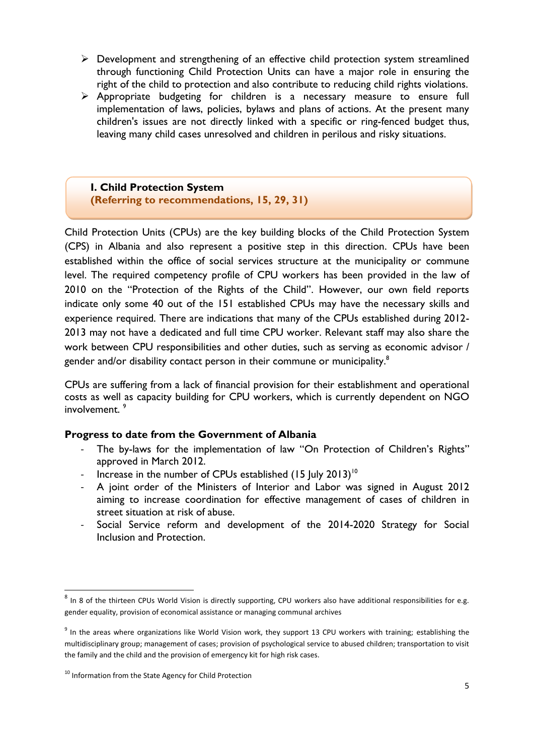- $\triangleright$  Development and strengthening of an effective child protection system streamlined through functioning Child Protection Units can have a major role in ensuring the right of the child to protection and also contribute to reducing child rights violations.
- Appropriate budgeting for children is a necessary measure to ensure full implementation of laws, policies, bylaws and plans of actions. At the present many children's issues are not directly linked with a specific or ring-fenced budget thus, leaving many child cases unresolved and children in perilous and risky situations.

**I. Child Protection System (Referring to recommendations, 15, 29, 31)**

Child Protection Units (CPUs) are the key building blocks of the Child Protection System (CPS) in Albania and also represent a positive step in this direction. CPUs have been established within the office of social services structure at the municipality or commune level. The required competency profile of CPU workers has been provided in the law of 2010 on the "Protection of the Rights of the Child". However, our own field reports indicate only some 40 out of the 151 established CPUs may have the necessary skills and experience required. There are indications that many of the CPUs established during 2012- 2013 may not have a dedicated and full time CPU worker. Relevant staff may also share the work between CPU responsibilities and other duties, such as serving as economic advisor / gender and/or disability contact person in their commune or municipality.<sup>8</sup>

CPUs are suffering from a lack of financial provision for their establishment and operational costs as well as capacity building for CPU workers, which is currently dependent on NGO involvement.<sup>9</sup>

#### **Progress to date from the Government of Albania**

- The by-laws for the implementation of law "On Protection of Children's Rights" approved in March 2012.
- Increase in the number of CPUs established  $(15 \text{ July } 2013)^{10}$
- A joint order of the Ministers of Interior and Labor was signed in August 2012 aiming to increase coordination for effective management of cases of children in street situation at risk of abuse.
- Social Service reform and development of the 2014-2020 Strategy for Social Inclusion and Protection.

 $^8$  In 8 of the thirteen CPUs World Vision is directly supporting, CPU workers also have additional responsibilities for e.g. gender equality, provision of economical assistance or managing communal archives

 $9$  In the areas where organizations like World Vision work, they support 13 CPU workers with training; establishing the multidisciplinary group; management of cases; provision of psychological service to abused children; transportation to visit the family and the child and the provision of emergency kit for high risk cases.

<sup>&</sup>lt;sup>10</sup> Information from the State Agency for Child Protection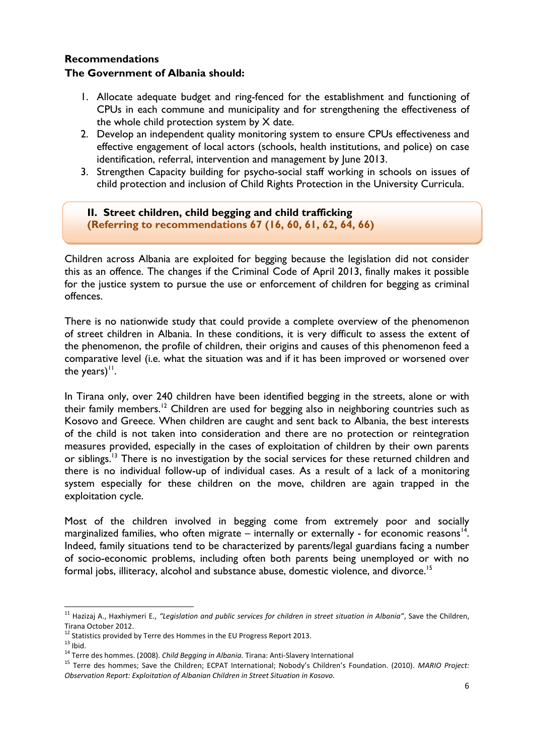#### **Recommendations The Government of Albania should:**

- 1. Allocate adequate budget and ring-fenced for the establishment and functioning of CPUs in each commune and municipality and for strengthening the effectiveness of the whole child protection system by  $X$  date.
- 2. Develop an independent quality monitoring system to ensure CPUs effectiveness and effective engagement of local actors (schools, health institutions, and police) on case identification, referral, intervention and management by June 2013.
- 3. Strengthen Capacity building for psycho-social staff working in schools on issues of child protection and inclusion of Child Rights Protection in the University Curricula.

**II. Street children, child begging and child trafficking (Referring to recommendations 67 (16, 60, 61, 62, 64, 66)**

Children across Albania are exploited for begging because the legislation did not consider this as an offence. The changes if the Criminal Code of April 2013, finally makes it possible for the justice system to pursue the use or enforcement of children for begging as criminal offences.

There is no nationwide study that could provide a complete overview of the phenomenon of street children in Albania. In these conditions, it is very difficult to assess the extent of the phenomenon, the profile of children, their origins and causes of this phenomenon feed a comparative level (i.e. what the situation was and if it has been improved or worsened over the years) $<sup>11</sup>$ .</sup>

In Tirana only, over 240 children have been identified begging in the streets, alone or with their family members.<sup>12</sup> Children are used for begging also in neighboring countries such as Kosovo and Greece. When children are caught and sent back to Albania, the best interests of the child is not taken into consideration and there are no protection or reintegration measures provided, especially in the cases of exploitation of children by their own parents or siblings.<sup>13</sup> There is no investigation by the social services for these returned children and there is no individual follow-up of individual cases. As a result of a lack of a monitoring system especially for these children on the move, children are again trapped in the exploitation cycle.

Most of the children involved in begging come from extremely poor and socially marginalized families, who often migrate  $-$  internally or externally - for economic reasons<sup>14</sup>. Indeed, family situations tend to be characterized by parents/legal guardians facing a number of socio-economic problems, including often both parents being unemployed or with no formal jobs, illiteracy, alcohol and substance abuse, domestic violence, and divorce.<sup>15</sup>

**.** 

<sup>11</sup> Hazizaj A., Haxhiymeri E., *"Legislation and public services for children in street situation in Albania"*, Save the Children, Tirana October 2012.

 $12$  Statistics provided by Terre des Hommes in the EU Progress Report 2013.

 $13$  Ibid.

<sup>14</sup> Terre des hommes. (2008). *Child Begging in Albania.* Tirana: Anti-Slavery International

<sup>15</sup> Terre des hommes; Save the Children; ECPAT International; Nobody's Children's Foundation. (2010). *MARIO Project: Observation Report: Exploitation of Albanian Children in Street Situation in Kosovo.*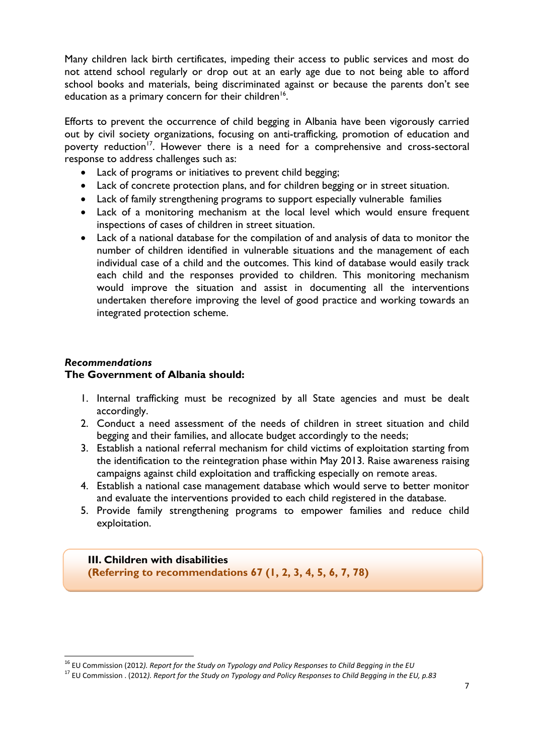Many children lack birth certificates, impeding their access to public services and most do not attend school regularly or drop out at an early age due to not being able to afford school books and materials, being discriminated against or because the parents don't see education as a primary concern for their children<sup>16</sup>.

Efforts to prevent the occurrence of child begging in Albania have been vigorously carried out by civil society organizations, focusing on anti-trafficking, promotion of education and poverty reduction<sup>17</sup>. However there is a need for a comprehensive and cross-sectoral response to address challenges such as:

- Lack of programs or initiatives to prevent child begging;
- Lack of concrete protection plans, and for children begging or in street situation.
- Lack of family strengthening programs to support especially vulnerable families
- Lack of a monitoring mechanism at the local level which would ensure frequent inspections of cases of children in street situation.
- Lack of a national database for the compilation of and analysis of data to monitor the number of children identified in vulnerable situations and the management of each individual case of a child and the outcomes. This kind of database would easily track each child and the responses provided to children. This monitoring mechanism would improve the situation and assist in documenting all the interventions undertaken therefore improving the level of good practice and working towards an integrated protection scheme.

#### *Recommendations* **The Government of Albania should:**

**.** 

- 1. Internal trafficking must be recognized by all State agencies and must be dealt accordingly.
- 2. Conduct a need assessment of the needs of children in street situation and child begging and their families, and allocate budget accordingly to the needs;
- 3. Establish a national referral mechanism for child victims of exploitation starting from the identification to the reintegration phase within May 2013. Raise awareness raising campaigns against child exploitation and trafficking especially on remote areas.
- 4. Establish a national case management database which would serve to better monitor and evaluate the interventions provided to each child registered in the database.
- 5. Provide family strengthening programs to empower families and reduce child exploitation.

**III. Children with disabilities (Referring to recommendations 67 (1, 2, 3, 4, 5, 6, 7, 78)** 

<sup>16</sup> EU Commission (2012*). Report for the Study on Typology and Policy Responses to Child Begging in the EU* 

<sup>17</sup> EU Commission . (2012*). Report for the Study on Typology and Policy Responses to Child Begging in the EU, p.83*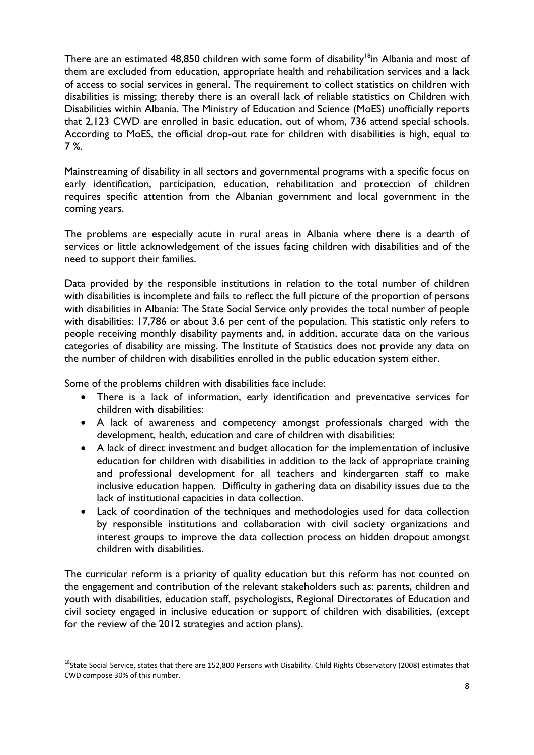There are an estimated 48,850 children with some form of disability<sup>18</sup>in Albania and most of them are excluded from education, appropriate health and rehabilitation services and a lack of access to social services in general. The requirement to collect statistics on children with disabilities is missing; thereby there is an overall lack of reliable statistics on Children with Disabilities within Albania. The Ministry of Education and Science (MoES) unofficially reports that 2,123 CWD are enrolled in basic education, out of whom, 736 attend special schools. According to MoES, the official drop-out rate for children with disabilities is high, equal to 7 %.

Mainstreaming of disability in all sectors and governmental programs with a specific focus on early identification, participation, education, rehabilitation and protection of children requires specific attention from the Albanian government and local government in the coming years.

The problems are especially acute in rural areas in Albania where there is a dearth of services or little acknowledgement of the issues facing children with disabilities and of the need to support their families.

Data provided by the responsible institutions in relation to the total number of children with disabilities is incomplete and fails to reflect the full picture of the proportion of persons with disabilities in Albania: The State Social Service only provides the total number of people with disabilities: 17,786 or about 3.6 per cent of the population. This statistic only refers to people receiving monthly disability payments and, in addition, accurate data on the various categories of disability are missing. The Institute of Statistics does not provide any data on the number of children with disabilities enrolled in the public education system either.

Some of the problems children with disabilities face include:

**.** 

- There is a lack of information, early identification and preventative services for children with disabilities:
- A lack of awareness and competency amongst professionals charged with the development, health, education and care of children with disabilities:
- A lack of direct investment and budget allocation for the implementation of inclusive education for children with disabilities in addition to the lack of appropriate training and professional development for all teachers and kindergarten staff to make inclusive education happen. Difficulty in gathering data on disability issues due to the lack of institutional capacities in data collection.
- Lack of coordination of the techniques and methodologies used for data collection by responsible institutions and collaboration with civil society organizations and interest groups to improve the data collection process on hidden dropout amongst children with disabilities.

The curricular reform is a priority of quality education but this reform has not counted on the engagement and contribution of the relevant stakeholders such as: parents, children and youth with disabilities, education staff, psychologists, Regional Directorates of Education and civil society engaged in inclusive education or support of children with disabilities, (except for the review of the 2012 strategies and action plans).

<sup>&</sup>lt;sup>18</sup>State Social Service, states that there are 152,800 Persons with Disability. Child Rights Observatory (2008) estimates that CWD compose 30% of this number.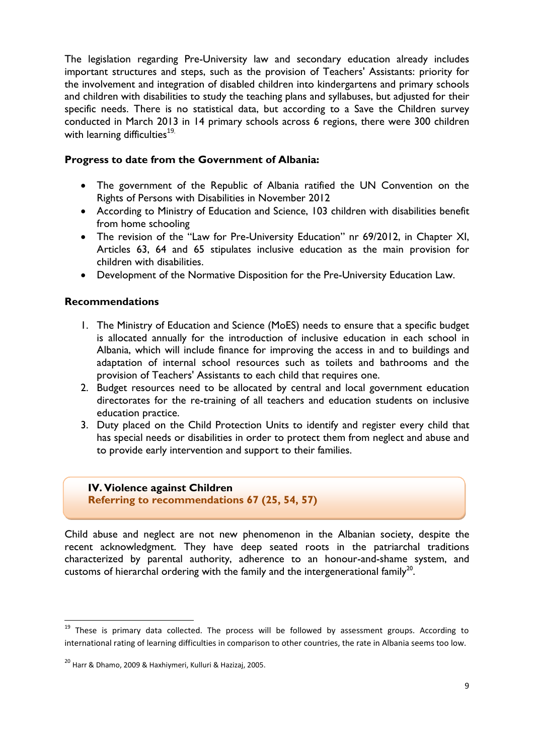The legislation regarding Pre-University law and secondary education already includes important structures and steps, such as the provision of Teachers' Assistants: priority for the involvement and integration of disabled children into kindergartens and primary schools and children with disabilities to study the teaching plans and syllabuses, but adjusted for their specific needs. There is no statistical data, but according to a Save the Children survey conducted in March 2013 in 14 primary schools across 6 regions, there were 300 children with learning difficulties $19$ .

#### **Progress to date from the Government of Albania:**

- The government of the Republic of Albania ratified the UN Convention on the Rights of Persons with Disabilities in November 2012
- According to Ministry of Education and Science, 103 children with disabilities benefit from home schooling
- The revision of the "Law for Pre-University Education" nr 69/2012, in Chapter XI, Articles 63, 64 and 65 stipulates inclusive education as the main provision for children with disabilities.
- Development of the Normative Disposition for the Pre-University Education Law.

### **Recommendations**

- 1. The Ministry of Education and Science (MoES) needs to ensure that a specific budget is allocated annually for the introduction of inclusive education in each school in Albania, which will include finance for improving the access in and to buildings and adaptation of internal school resources such as toilets and bathrooms and the provision of Teachers' Assistants to each child that requires one.
- 2. Budget resources need to be allocated by central and local government education directorates for the re-training of all teachers and education students on inclusive education practice.
- 3. Duty placed on the Child Protection Units to identify and register every child that has special needs or disabilities in order to protect them from neglect and abuse and to provide early intervention and support to their families.

**IV. Violence against Children Referring to recommendations 67 (25, 54, 57)**

Child abuse and neglect are not new phenomenon in the Albanian society, despite the recent acknowledgment. They have deep seated roots in the patriarchal traditions characterized by parental authority, adherence to an honour-and-shame system, and customs of hierarchal ordering with the family and the intergenerational family<sup>20</sup>.

<sup>&</sup>lt;sup>19</sup> These is primary data collected. The process will be followed by assessment groups. According to international rating of learning difficulties in comparison to other countries, the rate in Albania seems too low.

<sup>20</sup> Harr & Dhamo, 2009 & Haxhiymeri, Kulluri & Hazizaj, 2005.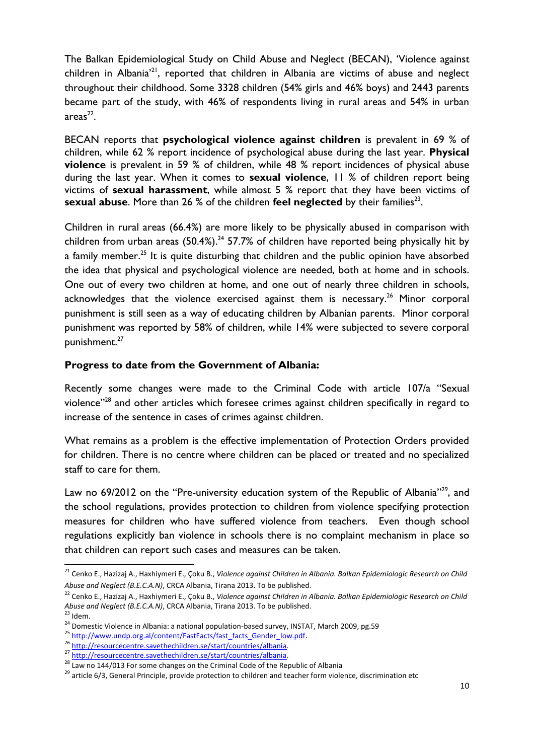The Balkan Epidemiological Study on Child Abuse and Neglect (BECAN), 'Violence against children in Albania'<sup>21</sup>, reported that children in Albania are victims of abuse and neglect throughout their childhood. Some 3328 children (54% girls and 46% boys) and 2443 parents became part of the study, with 46% of respondents living in rural areas and 54% in urban  $area<sup>22</sup>$ .

BECAN reports that **psychological violence against children** is prevalent in 69 % of children, while 62 % report incidence of psychological abuse during the last year. **Physical violence** is prevalent in 59 % of children, while 48 % report incidences of physical abuse during the last year. When it comes to **sexual violence**, 11 % of children report being victims of **sexual harassment**, while almost 5 % report that they have been victims of sexual abuse. More than 26 % of the children feel neglected by their families<sup>23</sup>.

Children in rural areas (66.4%) are more likely to be physically abused in comparison with children from urban areas  $(50.4\%)$ <sup>24</sup> 57.7% of children have reported being physically hit by a family member.<sup>25</sup> It is quite disturbing that children and the public opinion have absorbed the idea that physical and psychological violence are needed, both at home and in schools. One out of every two children at home, and one out of nearly three children in schools, acknowledges that the violence exercised against them is necessary.<sup>26</sup> Minor corporal punishment is still seen as a way of educating children by Albanian parents. Minor corporal punishment was reported by 58% of children, while 14% were subjected to severe corporal punishment.<sup>27</sup>

# **Progress to date from the Government of Albania:**

Recently some changes were made to the Criminal Code with article 107/a "Sexual violence"<sup>28</sup> and other articles which foresee crimes against children specifically in regard to increase of the sentence in cases of crimes against children.

What remains as a problem is the effective implementation of Protection Orders provided for children. There is no centre where children can be placed or treated and no specialized staff to care for them.

Law no 69/2012 on the "Pre-university education system of the Republic of Albania"<sup>29</sup>, and the school regulations, provides protection to children from violence specifying protection measures for children who have suffered violence from teachers. Even though school regulations explicitly ban violence in schools there is no complaint mechanism in place so that children can report such cases and measures can be taken.

**.** 

<sup>21</sup> Cenko E., Hazizaj A., Haxhiymeri E., Çoku B., *Violence against Children in Albania. Balkan Epidemiologic Research on Child Abuse and Neglect (B.E.C.A.N)*, CRCA Albania, Tirana 2013. To be published.

<sup>22</sup> Cenko E., Hazizaj A., Haxhiymeri E., Çoku B., *Violence against Children in Albania. Balkan Epidemiologic Research on Child Abuse and Neglect (B.E.C.A.N)*, CRCA Albania, Tirana 2013. To be published.

 $23$  Idem.

<sup>&</sup>lt;sup>24</sup> Domestic Violence in Albania: a national population-based survey, INSTAT, March 2009, pg.59

<sup>&</sup>lt;sup>25</sup> [http://www.undp.org.al/content/FastFacts/fast\\_facts\\_Gender\\_low.pdf.](http://www.undp.org.al/content/FastFacts/fast_facts_Gender_low.pdf)

<sup>&</sup>lt;sup>26</sup> [http://resourcecentre.savethechildren.se/start/countries/albania.](http://resourcecentre.savethechildren.se/start/countries/albania)

<sup>&</sup>lt;sup>27</sup> [http://resourcecentre.savethechildren.se/start/countries/albania.](http://resourcecentre.savethechildren.se/start/countries/albania)

 $28$  Law no 144/013 For some changes on the Criminal Code of the Republic of Albania

<sup>&</sup>lt;sup>29</sup> article 6/3, General Principle, provide protection to children and teacher form violence, discrimination etc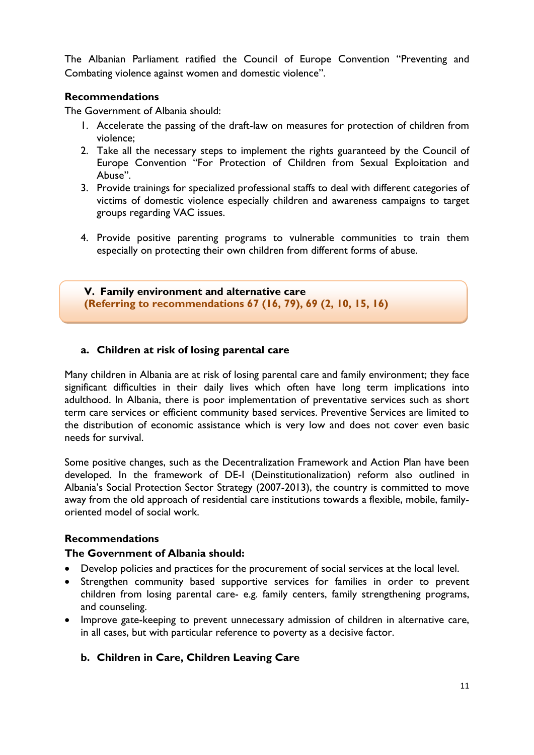The Albanian Parliament ratified the Council of Europe Convention "Preventing and Combating violence against women and domestic violence".

#### **Recommendations**

The Government of Albania should:

- 1. Accelerate the passing of the draft-law on measures for protection of children from violence;
- 2. Take all the necessary steps to implement the rights guaranteed by the Council of Europe Convention "For Protection of Children from Sexual Exploitation and Abuse".
- 3. Provide trainings for specialized professional staffs to deal with different categories of victims of domestic violence especially children and awareness campaigns to target groups regarding VAC issues.
- 4. Provide positive parenting programs to vulnerable communities to train them especially on protecting their own children from different forms of abuse.

**V. Family environment and alternative care (Referring to recommendations 67 (16, 79), 69 (2, 10, 15, 16)**

### **a. Children at risk of losing parental care**

Many children in Albania are at risk of losing parental care and family environment; they face significant difficulties in their daily lives which often have long term implications into adulthood. In Albania, there is poor implementation of preventative services such as short term care services or efficient community based services. Preventive Services are limited to the distribution of economic assistance which is very low and does not cover even basic needs for survival.

Some positive changes, such as the Decentralization Framework and Action Plan have been developed. In the framework of DE-I (Deinstitutionalization) reform also outlined in Albania's Social Protection Sector Strategy (2007-2013), the country is committed to move away from the old approach of residential care institutions towards a flexible, mobile, familyoriented model of social work.

### **Recommendations**

#### **The Government of Albania should:**

- Develop policies and practices for the procurement of social services at the local level.
- Strengthen community based supportive services for families in order to prevent children from losing parental care- e.g. family centers, family strengthening programs, and counseling.
- Improve gate-keeping to prevent unnecessary admission of children in alternative care, in all cases, but with particular reference to poverty as a decisive factor.

### **b. Children in Care, Children Leaving Care**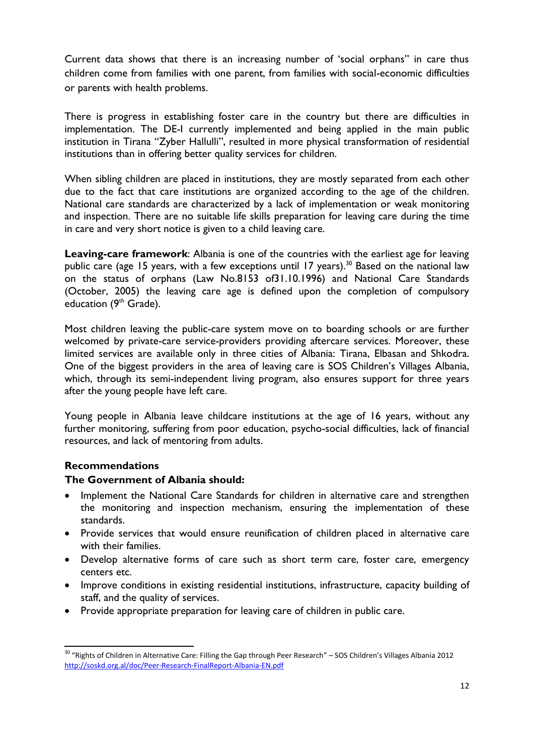Current data shows that there is an increasing number of 'social orphans" in care thus children come from families with one parent, from families with social-economic difficulties or parents with health problems.

There is progress in establishing foster care in the country but there are difficulties in implementation. The DE-I currently implemented and being applied in the main public institution in Tirana "Zyber Hallulli", resulted in more physical transformation of residential institutions than in offering better quality services for children.

When sibling children are placed in institutions, they are mostly separated from each other due to the fact that care institutions are organized according to the age of the children. National care standards are characterized by a lack of implementation or weak monitoring and inspection. There are no suitable life skills preparation for leaving care during the time in care and very short notice is given to a child leaving care.

**Leaving-care framework**: Albania is one of the countries with the earliest age for leaving public care (age 15 years, with a few exceptions until 17 years).<sup>30</sup> Based on the national law on the status of orphans (Law No.8153 of31.10.1996) and National Care Standards (October, 2005) the leaving care age is defined upon the completion of compulsory education (9<sup>th</sup> Grade).

Most children leaving the public-care system move on to boarding schools or are further welcomed by private-care service-providers providing aftercare services. Moreover, these limited services are available only in three cities of Albania: Tirana, Elbasan and Shkodra. One of the biggest providers in the area of leaving care is SOS Children's Villages Albania, which, through its semi-independent living program, also ensures support for three years after the young people have left care.

Young people in Albania leave childcare institutions at the age of 16 years, without any further monitoring, suffering from poor education, psycho-social difficulties, lack of financial resources, and lack of mentoring from adults.

### **Recommendations**

### **The Government of Albania should:**

- Implement the National Care Standards for children in alternative care and strengthen the monitoring and inspection mechanism, ensuring the implementation of these standards.
- Provide services that would ensure reunification of children placed in alternative care with their families.
- Develop alternative forms of care such as short term care, foster care, emergency centers etc.
- Improve conditions in existing residential institutions, infrastructure, capacity building of staff, and the quality of services.
- Provide appropriate preparation for leaving care of children in public care.

**<sup>.</sup>** <sup>30</sup> "Rights of Children in Alternative Care: Filling the Gap through Peer Research" – SOS Children's Villages Albania 2012 <http://soskd.org.al/doc/Peer-Research-FinalReport-Albania-EN.pdf>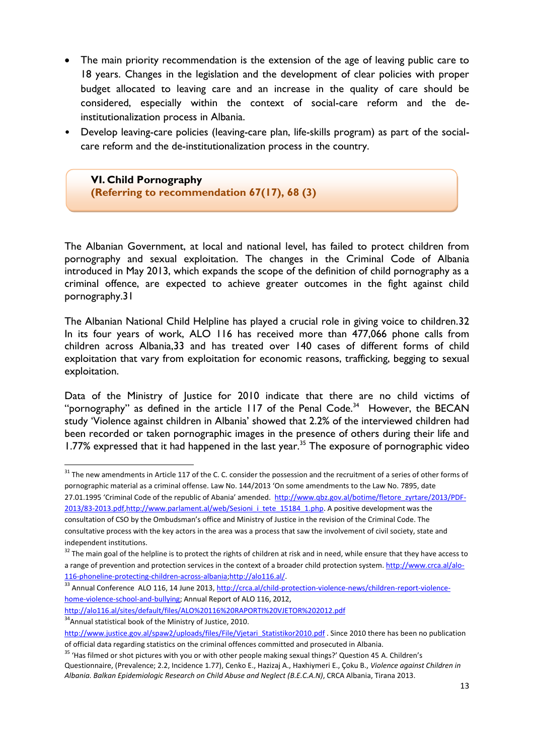- The main priority recommendation is the extension of the age of leaving public care to 18 years. Changes in the legislation and the development of clear policies with proper budget allocated to leaving care and an increase in the quality of care should be considered, especially within the context of social-care reform and the deinstitutionalization process in Albania.
- Develop leaving-care policies (leaving-care plan, life-skills program) as part of the socialcare reform and the de-institutionalization process in the country.

**VI. Child Pornography (Referring to recommendation 67(17), 68 (3)** 

The Albanian Government, at local and national level, has failed to protect children from pornography and sexual exploitation. The changes in the Criminal Code of Albania introduced in May 2013, which expands the scope of the definition of child pornography as a criminal offence, are expected to achieve greater outcomes in the fight against child pornography.31

The Albanian National Child Helpline has played a crucial role in giving voice to children.32 In its four years of work, ALO 116 has received more than 477,066 phone calls from children across Albania,33 and has treated over 140 cases of different forms of child exploitation that vary from exploitation for economic reasons, trafficking, begging to sexual exploitation.

Data of the Ministry of Justice for 2010 indicate that there are no child victims of "pornography" as defined in the article  $117$  of the Penal Code.<sup>34</sup> However, the BECAN study 'Violence against children in Albania' showed that 2.2% of the interviewed children had been recorded or taken pornographic images in the presence of others during their life and 1.77% expressed that it had happened in the last year.<sup>35</sup> The exposure of pornographic video

[2013/83-2013.pdf,](http://www.qbz.gov.al/botime/fletore_zyrtare/2013/PDF-2013/83-2013.pdf)[http://www.parlament.al/web/Sesioni\\_i\\_tete\\_15184\\_1.php.](http://www.parlament.al/web/Sesioni_i_tete_15184_1.php) A positive development was the

<http://alo116.al/sites/default/files/ALO%20116%20RAPORTI%20VJETOR%202012.pdf> <sup>34</sup> Annual statistical book of the Ministry of Justice, 2010.

<sup>&</sup>lt;sup>31</sup> The new amendments in Article 117 of the C. C. consider the possession and the recruitment of a series of other forms of pornographic material as a criminal offense. Law No. 144/2013 'On some amendments to the Law No. 7895, date 27.01.1995 'Criminal Code of the republic of Abania' amended. [http://www.qbz.gov.al/botime/fletore\\_zyrtare/2013/PDF-](http://www.qbz.gov.al/botime/fletore_zyrtare/2013/PDF-2013/83-2013.pdf)

consultation of CSO by the Ombudsman's office and Ministry of Justice in the revision of the Criminal Code. The consultative process with the key actors in the area was a process that saw the involvement of civil society, state and independent institutions.

<sup>&</sup>lt;sup>32</sup> The main goal of the helpline is to protect the rights of children at risk and in need, while ensure that they have access to a range of prevention and protection services in the context of a broader child protection system. [http://www.crca.al/alo-](http://www.crca.al/alo-116-phoneline-protecting-children-across-albania)[116-phoneline-protecting-children-across-albania;](http://www.crca.al/alo-116-phoneline-protecting-children-across-albania)[http://alo116.al/.](http://alo116.al/)

<sup>33</sup> Annual Conference ALO 116, 14 June 2013[, http://crca.al/child-protection-violence-news/children-report-violence](http://crca.al/child-protection-violence-news/children-report-violence-home-violence-school-and-bullying)[home-violence-school-and-bullying;](http://crca.al/child-protection-violence-news/children-report-violence-home-violence-school-and-bullying) Annual Report of ALO 116, 2012,

[http://www.justice.gov.al/spaw2/uploads/files/File/Vjetari\\_Statistikor2010.pdf](http://www.justice.gov.al/spaw2/uploads/files/File/Vjetari_Statistikor2010.pdf) . Since 2010 there has been no publication of official data regarding statistics on the criminal offences committed and prosecuted in Albania.

<sup>&</sup>lt;sup>35</sup> 'Has filmed or shot pictures with you or with other people making sexual things?' Question 45 A. Children's Questionnaire, (Prevalence; 2.2, Incidence 1.77), Cenko E., Hazizaj A., Haxhiymeri E., Çoku B., *Violence against Children in Albania. Balkan Epidemiologic Research on Child Abuse and Neglect (B.E.C.A.N)*, CRCA Albania, Tirana 2013.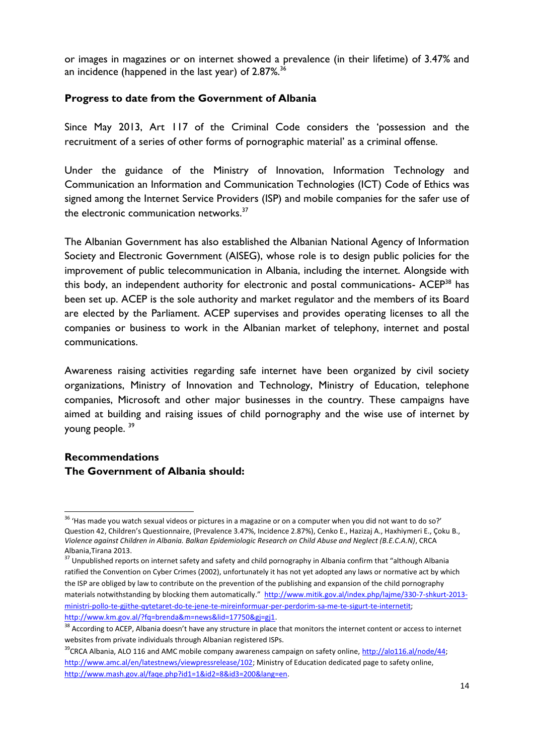or images in magazines or on internet showed a prevalence (in their lifetime) of 3.47% and an incidence (happened in the last year) of  $2.87\%$ <sup>36</sup>

#### **Progress to date from the Government of Albania**

Since May 2013, Art 117 of the Criminal Code considers the 'possession and the recruitment of a series of other forms of pornographic material' as a criminal offense.

Under the guidance of the Ministry of Innovation, Information Technology and Communication an Information and Communication Technologies (ICT) Code of Ethics was signed among the Internet Service Providers (ISP) and mobile companies for the safer use of the electronic communication networks.<sup>37</sup>

The Albanian Government has also established the Albanian National Agency of Information Society and Electronic Government (AISEG), whose role is to design public policies for the improvement of public telecommunication in Albania, including the internet. Alongside with this body, an independent authority for electronic and postal communications- ACEP<sup>38</sup> has been set up. ACEP is the sole authority and market regulator and the members of its Board are elected by the Parliament. ACEP supervises and provides operating licenses to all the companies or business to work in the Albanian market of telephony, internet and postal communications.

Awareness raising activities regarding safe internet have been organized by civil society organizations, Ministry of Innovation and Technology, Ministry of Education, telephone companies, Microsoft and other major businesses in the country. These campaigns have aimed at building and raising issues of child pornography and the wise use of internet by young people.<sup>39</sup>

# **Recommendations The Government of Albania should:**

<sup>&</sup>lt;sup>36</sup> 'Has made you watch sexual videos or pictures in a magazine or on a computer when you did not want to do so?' Question 42, Children's Questionnaire, (Prevalence 3.47%, Incidence 2.87%), Cenko E., Hazizaj A., Haxhiymeri E., Çoku B., *Violence against Children in Albania. Balkan Epidemiologic Research on Child Abuse and Neglect (B.E.C.A.N)*, CRCA Albania,Tirana 2013.

<sup>&</sup>lt;sup>37</sup> Unpublished reports on internet safety and safety and child pornography in Albania confirm that "although Albania ratified the Convention on Cyber Crimes (2002), unfortunately it has not yet adopted any laws or normative act by which the ISP are obliged by law to contribute on the prevention of the publishing and expansion of the child pornography materials notwithstanding by blocking them automatically." [http://www.mitik.gov.al/index.php/lajme/330-7-shkurt-2013](http://www.mitik.gov.al/index.php/lajme/330-7-shkurt-2013-ministri-pollo-te-gjithe-qytetaret-do-te-jene-te-mireinformuar-per-perdorim-sa-me-te-sigurt-te-internetit) [ministri-pollo-te-gjithe-qytetaret-do-te-jene-te-mireinformuar-per-perdorim-sa-me-te-sigurt-te-internetit;](http://www.mitik.gov.al/index.php/lajme/330-7-shkurt-2013-ministri-pollo-te-gjithe-qytetaret-do-te-jene-te-mireinformuar-per-perdorim-sa-me-te-sigurt-te-internetit) [http://www.km.gov.al/?fq=brenda&m=news&lid=17750&gj=gj1.](http://www.km.gov.al/?fq=brenda&m=news&lid=17750&gj=gj1)

<sup>&</sup>lt;sup>38</sup> According to ACEP, Albania doesn't have any structure in place that monitors the internet content or access to internet websites from private individuals through Albanian registered ISPs.

 $39$ CRCA Albania, ALO 116 and AMC mobile company awareness campaign on safety online, [http://alo116.al/node/44;](http://alo116.al/node/44) [http://www.amc.al/en/latestnews/viewpressrelease/102;](http://www.amc.al/en/latestnews/viewpressrelease/102) Ministry of Education dedicated page to safety online, [http://www.mash.gov.al/faqe.php?id1=1&id2=8&id3=200&lang=en.](http://www.mash.gov.al/faqe.php?id1=1&id2=8&id3=200&lang=en)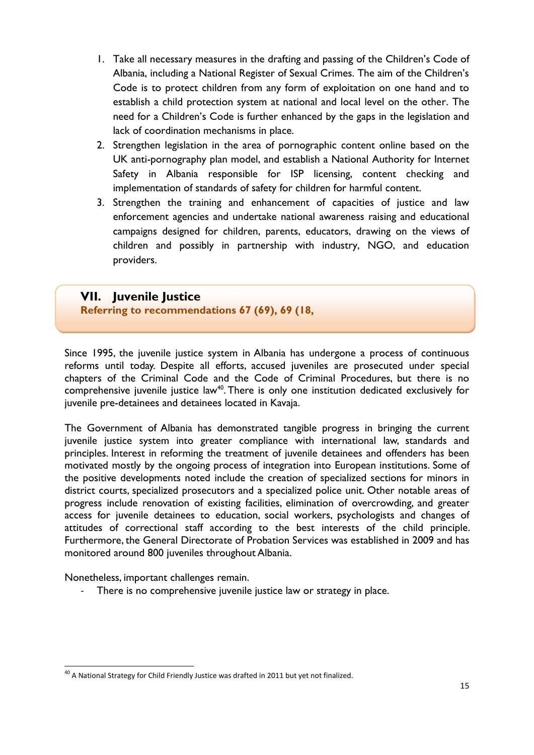- 1. Take all necessary measures in the drafting and passing of the Children's Code of Albania, including a National Register of Sexual Crimes. The aim of the Children's Code is to protect children from any form of exploitation on one hand and to establish a child protection system at national and local level on the other. The need for a Children's Code is further enhanced by the gaps in the legislation and lack of coordination mechanisms in place.
- 2. Strengthen legislation in the area of pornographic content online based on the UK anti-pornography plan model, and establish a National Authority for Internet Safety in Albania responsible for ISP licensing, content checking and implementation of standards of safety for children for harmful content.
- 3. Strengthen the training and enhancement of capacities of justice and law enforcement agencies and undertake national awareness raising and educational campaigns designed for children, parents, educators, drawing on the views of children and possibly in partnership with industry, NGO, and education providers.

# **VII. Juvenile Justice**

**Referring to recommendations 67 (69), 69 (18,**

Since 1995, the juvenile justice system in Albania has undergone a process of continuous reforms until today. Despite all efforts, accused juveniles are prosecuted under special chapters of the Criminal Code and the Code of Criminal Procedures, but there is no comprehensive juvenile justice law<sup>40</sup>. There is only one institution dedicated exclusively for juvenile pre-detainees and detainees located in Kavaja.

The Government of Albania has demonstrated tangible progress in bringing the current juvenile justice system into greater compliance with international law, standards and principles. Interest in reforming the treatment of juvenile detainees and offenders has been motivated mostly by the ongoing process of integration into European institutions. Some of the positive developments noted include the creation of specialized sections for minors in district courts, specialized prosecutors and a specialized police unit. Other notable areas of progress include renovation of existing facilities, elimination of overcrowding, and greater access for juvenile detainees to education, social workers, psychologists and changes of attitudes of correctional staff according to the best interests of the child principle. Furthermore, the General Directorate of Probation Services was established in 2009 and has monitored around 800 juveniles throughout Albania.

Nonetheless, important challenges remain.

1

- There is no comprehensive juvenile justice law or strategy in place.

<sup>&</sup>lt;sup>40</sup> A National Strategy for Child Friendly Justice was drafted in 2011 but yet not finalized.